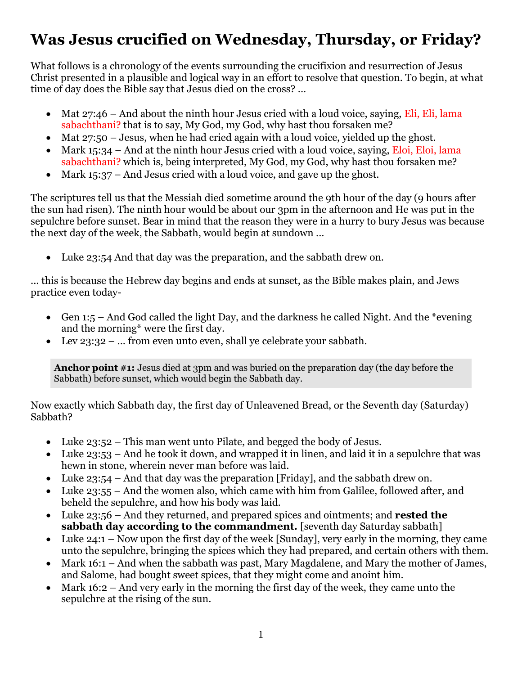# **Was Jesus crucified on Wednesday, Thursday, or Friday?**

What follows is a chronology of the events surrounding the crucifixion and resurrection of Jesus Christ presented in a plausible and logical way in an effort to resolve that question. To begin, at what time of day does the Bible say that Jesus died on the cross? ...

- Mat 27:46 And about the ninth hour Jesus cried with a loud voice, saying, Eli, Eli, lama sabachthani? that is to say, My God, my God, why hast thou forsaken me?
- Mat 27:50 Jesus, when he had cried again with a loud voice, yielded up the ghost.
- Mark  $15:34$  And at the ninth hour Jesus cried with a loud voice, saying, Eloi, Eloi, lama sabachthani? which is, being interpreted, My God, my God, why hast thou forsaken me?
- Mark 15:37 And Jesus cried with a loud voice, and gave up the ghost.

The scriptures tell us that the Messiah died sometime around the 9th hour of the day (9 hours after the sun had risen). The ninth hour would be about our 3pm in the afternoon and He was put in the sepulchre before sunset. Bear in mind that the reason they were in a hurry to bury Jesus was because the next day of the week, the Sabbath, would begin at sundown ...

Luke 23:54 And that day was the preparation, and the sabbath drew on.

... this is because the Hebrew day begins and ends at sunset, as the Bible makes plain, and Jews practice even today-

- Gen 1:5 And God called the light Day, and the darkness he called Night. And the \*evening and the morning\* were the first day.
- Lev 23:32 ... from even unto even, shall ye celebrate your sabbath.

**Anchor point #1:** Jesus died at 3pm and was buried on the preparation day (the day before the Sabbath) before sunset, which would begin the Sabbath day.

Now exactly which Sabbath day, the first day of Unleavened Bread, or the Seventh day (Saturday) Sabbath?

- Luke 23:52 This man went unto Pilate, and begged the body of Jesus.
- Luke 23:53 And he took it down, and wrapped it in linen, and laid it in a sepulchre that was hewn in stone, wherein never man before was laid.
- Luke 23:54 And that day was the preparation [Friday], and the sabbath drew on.
- Luke 23:55 And the women also, which came with him from Galilee, followed after, and beheld the sepulchre, and how his body was laid.
- Luke 23:56 And they returned, and prepared spices and ointments; and **rested the sabbath day according to the commandment.** [seventh day Saturday sabbath]
- Luke 24:1 Now upon the first day of the week [Sunday], very early in the morning, they came unto the sepulchre, bringing the spices which they had prepared, and certain others with them.
- Mark 16:1 And when the sabbath was past, Mary Magdalene, and Mary the mother of James, and Salome, had bought sweet spices, that they might come and anoint him.
- Mark 16:2 And very early in the morning the first day of the week, they came unto the sepulchre at the rising of the sun.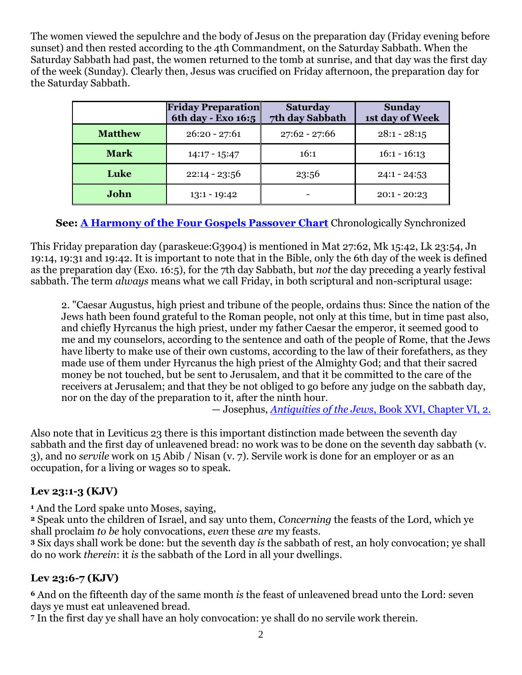The women viewed the sepulchre and the body of Jesus on the preparation day (Friday evening before sunset) and then rested according to the 4th Commandment, on the Saturday Sabbath. When the Saturday Sabbath had past, the women returned to the tomb at sunrise, and that day was the first day of the week (Sunday). Clearly then, Jesus was crucified on Friday afternoon, the preparation day for the Saturday Sabbath.

|                | <b>Friday Preparation</b><br>6th day - Exo 16:5 | <b>Saturday</b><br>7th day Sabbath | <b>Sunday</b><br>1st day of Week |  |
|----------------|-------------------------------------------------|------------------------------------|----------------------------------|--|
| <b>Matthew</b> | $26:20 - 27:61$                                 | $27:62 - 27:66$                    | $28:1 - 28:15$                   |  |
| <b>Mark</b>    | $14:17 - 15:47$                                 | 16:1                               | $16:1 - 16:13$                   |  |
| Luke           | $22:14 - 23:56$                                 | 23:56                              | $24:1 - 24:53$                   |  |
| John           | $13:1 - 19:42$                                  |                                    | $20:1 - 20:23$                   |  |

**See: [A Harmony of the Four Gospels Passover Chart](http://biblelight.net/Passover%20chart.htm)** Chronologically Synchronized

This Friday preparation day (paraskeue:G3904) is mentioned in Mat 27:62, Mk 15:42, Lk 23:54, Jn 19:14, 19:31 and 19:42. It is important to note that in the Bible, only the 6th day of the week is defined as the preparation day (Exo. 16:5), for the 7th day Sabbath, but *not* the day preceding a yearly festival sabbath. The term *always* means what we call Friday, in both scriptural and non-scriptural usage:

2. "Caesar Augustus, high priest and tribune of the people, ordains thus: Since the nation of the Jews hath been found grateful to the Roman people, not only at this time, but in time past also, and chiefly Hyrcanus the high priest, under my father Caesar the emperor, it seemed good to me and my counselors, according to the sentence and oath of the people of Rome, that the Jews have liberty to make use of their own customs, according to the law of their forefathers, as they made use of them under Hyrcanus the high priest of the Almighty God; and that their sacred money be not touched, but be sent to Jerusalem, and that it be committed to the care of the receivers at Jerusalem; and that they be not obliged to go before any judge on the sabbath day, nor on the day of the preparation to it, after the ninth hour.

— Josephus, *Antiquities of the Jews*[, Book XVI, Chapter VI, 2.](http://books.google.com/books?id=TVPraYz7EGkC&pg=PA331&lpg=PA331&dq=%22nor+on+the+day+of+the+preparation+to+it,+after+the+ninth+hour.%22&source=bl&ots=qIdwk9aL5j&sig=v4O7XY9zwQhcopI7YiuJ3aHVEQE&hl=en&sa=X&ei=LK2ZUPmdGeHF0QW-lIDoAw&ved=0CD0Q6AEwBA#v=onepage&q=%22nor%20on%20the%20day%20of%20the%20preparation%20to%20it%2C%20after%20the%20ninth%20hour.%22&f=false)

Also note that in Leviticus 23 there is this important distinction made between the seventh day sabbath and the first day of unleavened bread: no work was to be done on the seventh day sabbath (v. 3), and no *servile* work on 15 Abib / Nisan (v. 7). Servile work is done for an employer or as an occupation, for a living or wages so to speak.

#### **Lev 23:1-3 (KJV)**

**<sup>1</sup>** And the Lord spake unto Moses, saying,

**<sup>2</sup>** Speak unto the children of Israel, and say unto them, *Concerning* the feasts of the Lord, which ye shall proclaim *to be* holy convocations, *even* these *are* my feasts.

**<sup>3</sup>** Six days shall work be done: but the seventh day *is* the sabbath of rest, an holy convocation; ye shall do no work *therein*: it *is* the sabbath of the Lord in all your dwellings.

#### **Lev 23:6-7 (KJV)**

**<sup>6</sup>** And on the fifteenth day of the same month *is* the feast of unleavened bread unto the Lord: seven days ye must eat unleavened bread.

**<sup>7</sup>** In the first day ye shall have an holy convocation: ye shall do no servile work therein.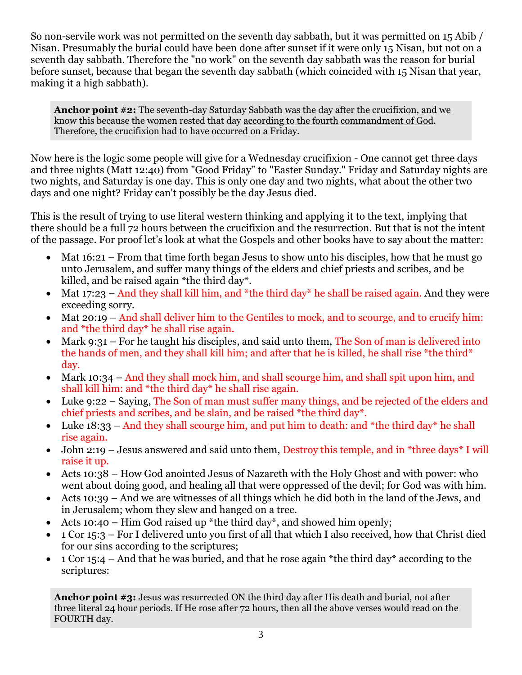So non-servile work was not permitted on the seventh day sabbath, but it was permitted on 15 Abib / Nisan. Presumably the burial could have been done after sunset if it were only 15 Nisan, but not on a seventh day sabbath. Therefore the "no work" on the seventh day sabbath was the reason for burial before sunset, because that began the seventh day sabbath (which coincided with 15 Nisan that year, making it a high sabbath).

**Anchor point #2:** The seventh-day Saturday Sabbath was the day after the crucifixion, and we know this because the women rested that day according to the fourth commandment of God. Therefore, the crucifixion had to have occurred on a Friday.

Now here is the logic some people will give for a Wednesday crucifixion - One cannot get three days and three nights (Matt 12:40) from "Good Friday" to "Easter Sunday." Friday and Saturday nights are two nights, and Saturday is one day. This is only one day and two nights, what about the other two days and one night? Friday can't possibly be the day Jesus died.

This is the result of trying to use literal western thinking and applying it to the text, implying that there should be a full 72 hours between the crucifixion and the resurrection. But that is not the intent of the passage. For proof let's look at what the Gospels and other books have to say about the matter:

- Mat  $16:21$  From that time forth began Jesus to show unto his disciples, how that he must go unto Jerusalem, and suffer many things of the elders and chief priests and scribes, and be killed, and be raised again \*the third day\*.
- Mat 17:23 And they shall kill him, and \*the third day\* he shall be raised again. And they were exceeding sorry.
- Mat 20:19 And shall deliver him to the Gentiles to mock, and to scourge, and to crucify him: and \*the third day\* he shall rise again.
- Mark 9:31 For he taught his disciples, and said unto them, The Son of man is delivered into the hands of men, and they shall kill him; and after that he is killed, he shall rise \*the third\* day.
- Mark 10:34 And they shall mock him, and shall scourge him, and shall spit upon him, and shall kill him: and \*the third day\* he shall rise again.
- Luke 9:22 Saying, The Son of man must suffer many things, and be rejected of the elders and chief priests and scribes, and be slain, and be raised \*the third day\*.
- Luke  $18:33$  And they shall scourge him, and put him to death: and \*the third day\* he shall rise again.
- John 2:19 Jesus answered and said unto them, Destroy this temple, and in \*three days\* I will raise it up.
- Acts 10:38 How God anointed Jesus of Nazareth with the Holy Ghost and with power: who went about doing good, and healing all that were oppressed of the devil; for God was with him.
- Acts 10:39 And we are witnesses of all things which he did both in the land of the Jews, and in Jerusalem; whom they slew and hanged on a tree.
- Acts 10:40 Him God raised up \*the third day\*, and showed him openly;
- 1 Cor 15:3 For I delivered unto you first of all that which I also received, how that Christ died for our sins according to the scriptures;
- $\bullet$  1 Cor 15:4 And that he was buried, and that he rose again \*the third day\* according to the scriptures:

**Anchor point #3:** Jesus was resurrected ON the third day after His death and burial, not after three literal 24 hour periods. If He rose after 72 hours, then all the above verses would read on the FOURTH day.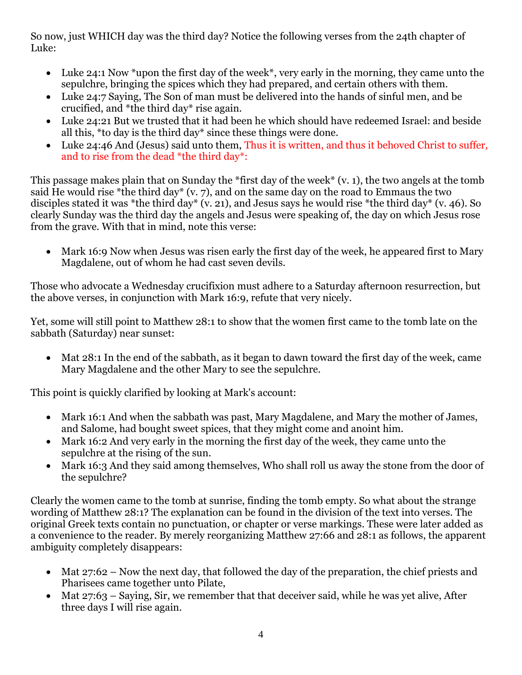So now, just WHICH day was the third day? Notice the following verses from the 24th chapter of Luke:

- Luke 24:1 Now \*upon the first day of the week\*, very early in the morning, they came unto the sepulchre, bringing the spices which they had prepared, and certain others with them.
- Luke 24:7 Saying, The Son of man must be delivered into the hands of sinful men, and be crucified, and \*the third day\* rise again.
- Luke 24:21 But we trusted that it had been he which should have redeemed Israel: and beside all this, \*to day is the third day\* since these things were done.
- Luke 24:46 And (Jesus) said unto them, Thus it is written, and thus it behoved Christ to suffer, and to rise from the dead \*the third day\*:

This passage makes plain that on Sunday the \*first day of the week\* (v. 1), the two angels at the tomb said He would rise \*the third day\* (v. 7), and on the same day on the road to Emmaus the two disciples stated it was \*the third day\* (v. 21), and Jesus says he would rise \*the third day\* (v. 46). So clearly Sunday was the third day the angels and Jesus were speaking of, the day on which Jesus rose from the grave. With that in mind, note this verse:

• Mark 16:9 Now when Jesus was risen early the first day of the week, he appeared first to Mary Magdalene, out of whom he had cast seven devils.

Those who advocate a Wednesday crucifixion must adhere to a Saturday afternoon resurrection, but the above verses, in conjunction with Mark 16:9, refute that very nicely.

Yet, some will still point to Matthew 28:1 to show that the women first came to the tomb late on the sabbath (Saturday) near sunset:

 Mat 28:1 In the end of the sabbath, as it began to dawn toward the first day of the week, came Mary Magdalene and the other Mary to see the sepulchre.

This point is quickly clarified by looking at Mark's account:

- Mark 16:1 And when the sabbath was past, Mary Magdalene, and Mary the mother of James, and Salome, had bought sweet spices, that they might come and anoint him.
- Mark 16:2 And very early in the morning the first day of the week, they came unto the sepulchre at the rising of the sun.
- Mark 16:3 And they said among themselves, Who shall roll us away the stone from the door of the sepulchre?

Clearly the women came to the tomb at sunrise, finding the tomb empty. So what about the strange wording of Matthew 28:1? The explanation can be found in the division of the text into verses. The original Greek texts contain no punctuation, or chapter or verse markings. These were later added as a convenience to the reader. By merely reorganizing Matthew 27:66 and 28:1 as follows, the apparent ambiguity completely disappears:

- Mat 27:62 Now the next day, that followed the day of the preparation, the chief priests and Pharisees came together unto Pilate,
- Mat 27:63 Saying, Sir, we remember that that deceiver said, while he was yet alive, After three days I will rise again.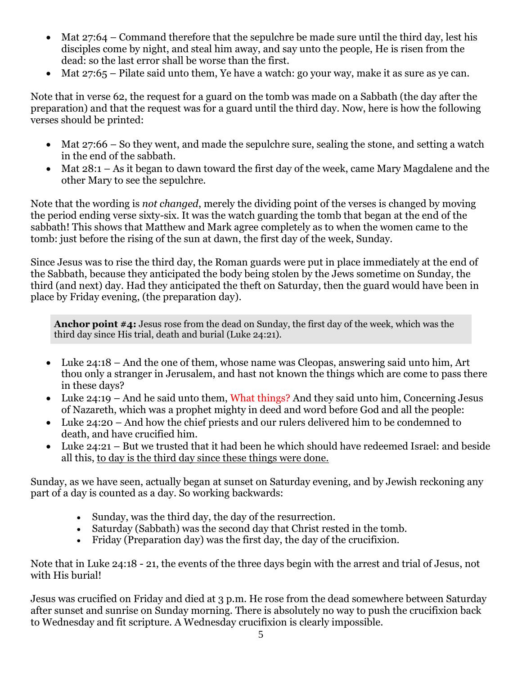- Mat 27:64 Command therefore that the sepulchre be made sure until the third day, lest his disciples come by night, and steal him away, and say unto the people, He is risen from the dead: so the last error shall be worse than the first.
- Mat 27:65 Pilate said unto them, Ye have a watch: go your way, make it as sure as ye can.

Note that in verse 62, the request for a guard on the tomb was made on a Sabbath (the day after the preparation) and that the request was for a guard until the third day. Now, here is how the following verses should be printed:

- Mat 27:66 So they went, and made the sepulchre sure, sealing the stone, and setting a watch in the end of the sabbath.
- Mat 28:1 As it began to dawn toward the first day of the week, came Mary Magdalene and the other Mary to see the sepulchre.

Note that the wording is *not changed*, merely the dividing point of the verses is changed by moving the period ending verse sixty-six. It was the watch guarding the tomb that began at the end of the sabbath! This shows that Matthew and Mark agree completely as to when the women came to the tomb: just before the rising of the sun at dawn, the first day of the week, Sunday.

Since Jesus was to rise the third day, the Roman guards were put in place immediately at the end of the Sabbath, because they anticipated the body being stolen by the Jews sometime on Sunday, the third (and next) day. Had they anticipated the theft on Saturday, then the guard would have been in place by Friday evening, (the preparation day).

**Anchor point #4:** Jesus rose from the dead on Sunday, the first day of the week, which was the third day since His trial, death and burial (Luke 24:21).

- Luke 24:18 And the one of them, whose name was Cleopas, answering said unto him, Art thou only a stranger in Jerusalem, and hast not known the things which are come to pass there in these days?
- Luke 24:19 And he said unto them, What things? And they said unto him, Concerning Jesus of Nazareth, which was a prophet mighty in deed and word before God and all the people:
- Luke 24:20 And how the chief priests and our rulers delivered him to be condemned to death, and have crucified him.
- Luke 24:21 But we trusted that it had been he which should have redeemed Israel: and beside all this, to day is the third day since these things were done.

Sunday, as we have seen, actually began at sunset on Saturday evening, and by Jewish reckoning any part of a day is counted as a day. So working backwards:

- Sunday, was the third day, the day of the resurrection.
- Saturday (Sabbath) was the second day that Christ rested in the tomb.
- Friday (Preparation day) was the first day, the day of the crucifixion.

Note that in Luke 24:18 - 21, the events of the three days begin with the arrest and trial of Jesus, not with His burial!

Jesus was crucified on Friday and died at 3 p.m. He rose from the dead somewhere between Saturday after sunset and sunrise on Sunday morning. There is absolutely no way to push the crucifixion back to Wednesday and fit scripture. A Wednesday crucifixion is clearly impossible.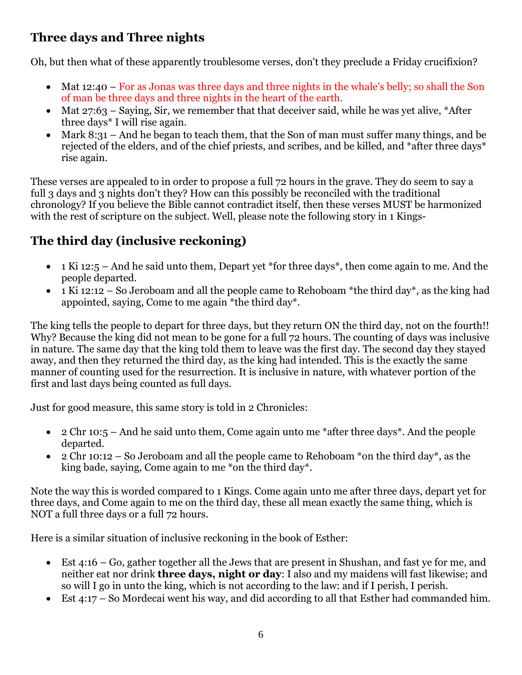## **Three days and Three nights**

Oh, but then what of these apparently troublesome verses, don't they preclude a Friday crucifixion?

- Mat 12:40 For as Jonas was three days and three nights in the whale's belly; so shall the Son of man be three days and three nights in the heart of the earth.
- Mat  $27:63$  Saying, Sir, we remember that that deceiver said, while he was yet alive, \*After three days\* I will rise again.
- Mark 8:31 And he began to teach them, that the Son of man must suffer many things, and be rejected of the elders, and of the chief priests, and scribes, and be killed, and \*after three days\* rise again.

These verses are appealed to in order to propose a full 72 hours in the grave. They do seem to say a full 3 days and 3 nights don't they? How can this possibly be reconciled with the traditional chronology? If you believe the Bible cannot contradict itself, then these verses MUST be harmonized with the rest of scripture on the subject. Well, please note the following story in 1 Kings-

# **The third day (inclusive reckoning)**

- $\bullet$  1 Ki 12:5 And he said unto them, Depart yet \*for three days\*, then come again to me. And the people departed.
- $\bullet$  1 Ki 12:12 So Jeroboam and all the people came to Rehoboam \*the third day\*, as the king had appointed, saying, Come to me again \*the third day\*.

The king tells the people to depart for three days, but they return ON the third day, not on the fourth!! Why? Because the king did not mean to be gone for a full 72 hours. The counting of days was inclusive in nature. The same day that the king told them to leave was the first day. The second day they stayed away, and then they returned the third day, as the king had intended. This is the exactly the same manner of counting used for the resurrection. It is inclusive in nature, with whatever portion of the first and last days being counted as full days.

Just for good measure, this same story is told in 2 Chronicles:

- 2 Chr 10:5 And he said unto them, Come again unto me \*after three days\*. And the people departed.
- 2 Chr 10:12 So Jeroboam and all the people came to Rehoboam \*on the third day\*, as the king bade, saying, Come again to me \*on the third day\*.

Note the way this is worded compared to 1 Kings. Come again unto me after three days, depart yet for three days, and Come again to me on the third day, these all mean exactly the same thing, which is NOT a full three days or a full 72 hours.

Here is a similar situation of inclusive reckoning in the book of Esther:

- Est 4:16 Go, gather together all the Jews that are present in Shushan, and fast ye for me, and neither eat nor drink **three days, night or day**: I also and my maidens will fast likewise; and so will I go in unto the king, which is not according to the law: and if I perish, I perish.
- Est 4:17 So Mordecai went his way, and did according to all that Esther had commanded him.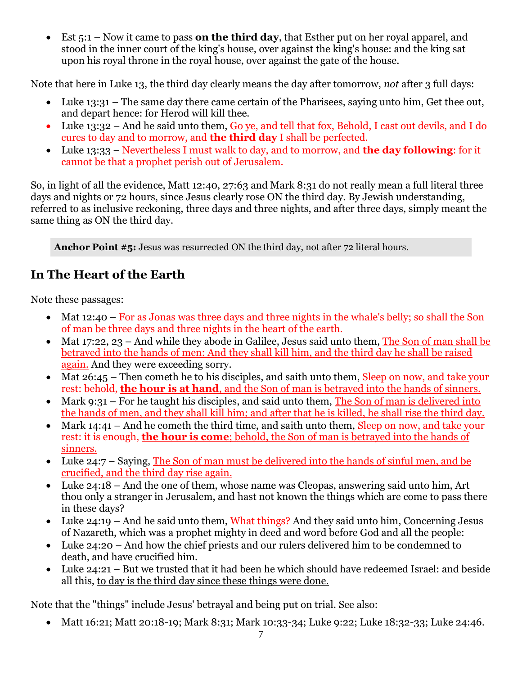Est 5:1 – Now it came to pass **on the third day**, that Esther put on her royal apparel, and stood in the inner court of the king's house, over against the king's house: and the king sat upon his royal throne in the royal house, over against the gate of the house.

Note that here in Luke 13, the third day clearly means the day after tomorrow, *not* after 3 full days:

- Luke 13:31 The same day there came certain of the Pharisees, saying unto him, Get thee out, and depart hence: for Herod will kill thee.
- Luke 13:32 And he said unto them, Go ye, and tell that fox, Behold, I cast out devils, and I do cures to day and to morrow, and **the third day** I shall be perfected.
- Luke 13:33 Nevertheless I must walk to day, and to morrow, and **the day following**: for it cannot be that a prophet perish out of Jerusalem.

So, in light of all the evidence, Matt 12:40, 27:63 and Mark 8:31 do not really mean a full literal three days and nights or 72 hours, since Jesus clearly rose ON the third day. By Jewish understanding, referred to as inclusive reckoning, three days and three nights, and after three days, simply meant the same thing as ON the third day.

**Anchor Point #5:** Jesus was resurrected ON the third day, not after 72 literal hours.

### **In The Heart of the Earth**

Note these passages:

- Mat 12:40 For as Jonas was three days and three nights in the whale's belly; so shall the Son of man be three days and three nights in the heart of the earth.
- Mat 17:22, 23 And while they abode in Galilee, Jesus said unto them, The Son of man shall be betrayed into the hands of men: And they shall kill him, and the third day he shall be raised again. And they were exceeding sorry.
- Mat 26:45 Then cometh he to his disciples, and saith unto them, Sleep on now, and take your rest: behold, **the hour is at hand**, and the Son of man is betrayed into the hands of sinners.
- Mark 9:31 For he taught his disciples, and said unto them, The Son of man is delivered into the hands of men, and they shall kill him; and after that he is killed, he shall rise the third day.
- Mark 14:41 And he cometh the third time, and saith unto them, Sleep on now, and take your rest: it is enough, **the hour is come**; behold, the Son of man is betrayed into the hands of sinners.
- Luke 24:7 Saying, The Son of man must be delivered into the hands of sinful men, and be crucified, and the third day rise again.
- Luke 24:18 And the one of them, whose name was Cleopas, answering said unto him, Art thou only a stranger in Jerusalem, and hast not known the things which are come to pass there in these days?
- Luke 24:19 And he said unto them, What things? And they said unto him, Concerning Jesus of Nazareth, which was a prophet mighty in deed and word before God and all the people:
- Luke 24:20 And how the chief priests and our rulers delivered him to be condemned to death, and have crucified him.
- Luke 24:21 But we trusted that it had been he which should have redeemed Israel: and beside all this, to day is the third day since these things were done.

Note that the "things" include Jesus' betrayal and being put on trial. See also:

• Matt 16:21; Matt 20:18-19; Mark 8:31; Mark 10:33-34; Luke 9:22; Luke 18:32-33; Luke 24:46.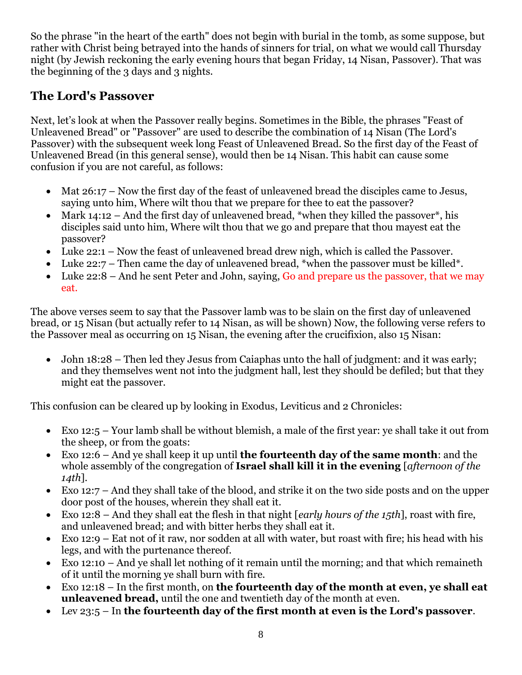So the phrase "in the heart of the earth" does not begin with burial in the tomb, as some suppose, but rather with Christ being betrayed into the hands of sinners for trial, on what we would call Thursday night (by Jewish reckoning the early evening hours that began Friday, 14 Nisan, Passover). That was the beginning of the 3 days and 3 nights.

### **The Lord's Passover**

Next, let's look at when the Passover really begins. Sometimes in the Bible, the phrases "Feast of Unleavened Bread" or "Passover" are used to describe the combination of 14 Nisan (The Lord's Passover) with the subsequent week long Feast of Unleavened Bread. So the first day of the Feast of Unleavened Bread (in this general sense), would then be 14 Nisan. This habit can cause some confusion if you are not careful, as follows:

- Mat 26:17 Now the first day of the feast of unleavened bread the disciples came to Jesus, saying unto him, Where wilt thou that we prepare for thee to eat the passover?
- Mark 14:12 And the first day of unleavened bread, \*when they killed the passover\*, his disciples said unto him, Where wilt thou that we go and prepare that thou mayest eat the passover?
- Luke 22:1 Now the feast of unleavened bread drew nigh, which is called the Passover.
- Luke  $22:7$  Then came the day of unleavened bread, \*when the passover must be killed\*.
- Luke 22:8 And he sent Peter and John, saying, Go and prepare us the passover, that we may eat.

The above verses seem to say that the Passover lamb was to be slain on the first day of unleavened bread, or 15 Nisan (but actually refer to 14 Nisan, as will be shown) Now, the following verse refers to the Passover meal as occurring on 15 Nisan, the evening after the crucifixion, also 15 Nisan:

 John 18:28 – Then led they Jesus from Caiaphas unto the hall of judgment: and it was early; and they themselves went not into the judgment hall, lest they should be defiled; but that they might eat the passover.

This confusion can be cleared up by looking in Exodus, Leviticus and 2 Chronicles:

- Exo 12:5 Your lamb shall be without blemish, a male of the first year: ye shall take it out from the sheep, or from the goats:
- Exo 12:6 And ye shall keep it up until **the fourteenth day of the same month**: and the whole assembly of the congregation of **Israel shall kill it in the evening** [*afternoon of the 14th*].
- Exo 12:7 And they shall take of the blood, and strike it on the two side posts and on the upper door post of the houses, wherein they shall eat it.
- Exo 12:8 And they shall eat the flesh in that night [*early hours of the 15th*], roast with fire, and unleavened bread; and with bitter herbs they shall eat it.
- Exo 12:9 Eat not of it raw, nor sodden at all with water, but roast with fire; his head with his legs, and with the purtenance thereof.
- Exo 12:10 And ye shall let nothing of it remain until the morning; and that which remaineth of it until the morning ye shall burn with fire.
- Exo 12:18 In the first month, on **the fourteenth day of the month at even, ye shall eat unleavened bread,** until the one and twentieth day of the month at even.
- Lev 23:5 In **the fourteenth day of the first month at even is the Lord's passover**.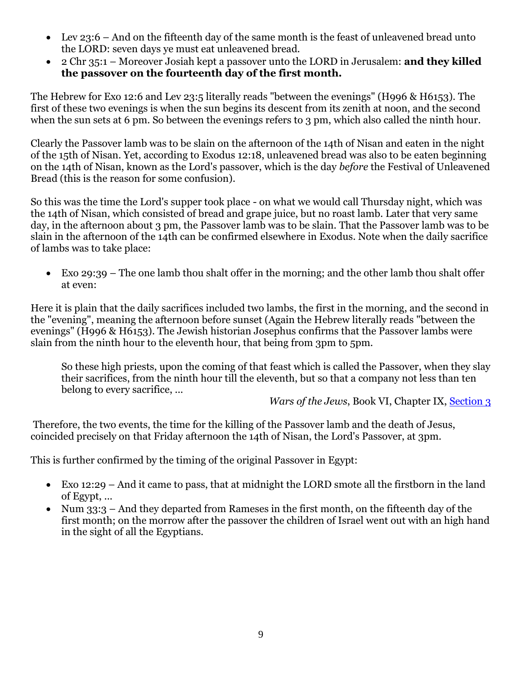- Lev 23:6 And on the fifteenth day of the same month is the feast of unleavened bread unto the LORD: seven days ye must eat unleavened bread.
- 2 Chr 35:1 Moreover Josiah kept a passover unto the LORD in Jerusalem: **and they killed the passover on the fourteenth day of the first month.**

The Hebrew for Exo 12:6 and Lev 23:5 literally reads "between the evenings" (H996 & H6153). The first of these two evenings is when the sun begins its descent from its zenith at noon, and the second when the sun sets at 6 pm. So between the evenings refers to 3 pm, which also called the ninth hour.

Clearly the Passover lamb was to be slain on the afternoon of the 14th of Nisan and eaten in the night of the 15th of Nisan. Yet, according to Exodus 12:18, unleavened bread was also to be eaten beginning on the 14th of Nisan, known as the Lord's passover, which is the day *before* the Festival of Unleavened Bread (this is the reason for some confusion).

So this was the time the Lord's supper took place - on what we would call Thursday night, which was the 14th of Nisan, which consisted of bread and grape juice, but no roast lamb. Later that very same day, in the afternoon about 3 pm, the Passover lamb was to be slain. That the Passover lamb was to be slain in the afternoon of the 14th can be confirmed elsewhere in Exodus. Note when the daily sacrifice of lambs was to take place:

 Exo 29:39 – The one lamb thou shalt offer in the morning; and the other lamb thou shalt offer at even:

Here it is plain that the daily sacrifices included two lambs, the first in the morning, and the second in the "evening", meaning the afternoon before sunset (Again the Hebrew literally reads "between the evenings" (H996 & H6153). The Jewish historian Josephus confirms that the Passover lambs were slain from the ninth hour to the eleventh hour, that being from 3pm to 5pm.

So these high priests, upon the coming of that feast which is called the Passover, when they slay their sacrifices, from the ninth hour till the eleventh, but so that a company not less than ten belong to every sacrifice, ...

*Wars of the Jews*, Book VI, Chapter IX, [Section 3](http://www.ccel.org/j/josephus/works/war-6.htm#EndNote_War_6.32a)

Therefore, the two events, the time for the killing of the Passover lamb and the death of Jesus, coincided precisely on that Friday afternoon the 14th of Nisan, the Lord's Passover, at 3pm.

This is further confirmed by the timing of the original Passover in Egypt:

- Exo 12:29 And it came to pass, that at midnight the LORD smote all the firstborn in the land of Egypt, ...
- Num 33:3 And they departed from Rameses in the first month, on the fifteenth day of the first month; on the morrow after the passover the children of Israel went out with an high hand in the sight of all the Egyptians.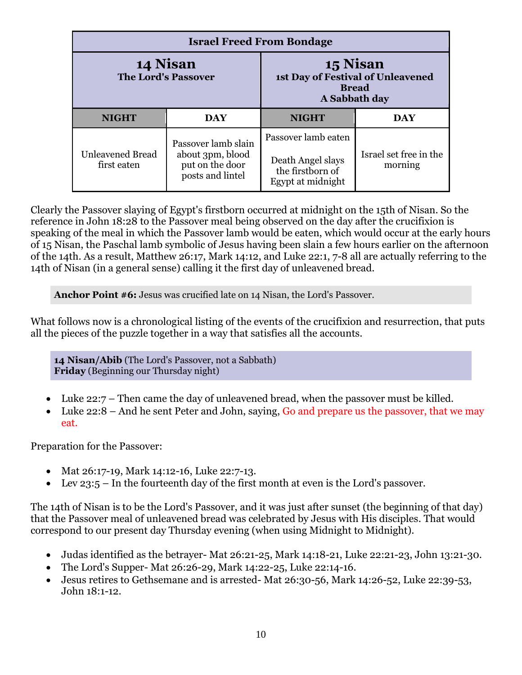| <b>Israel Freed From Bondage</b>       |                                                                                |                                                                                   |                                   |  |  |  |  |
|----------------------------------------|--------------------------------------------------------------------------------|-----------------------------------------------------------------------------------|-----------------------------------|--|--|--|--|
| 14 Nisan<br><b>The Lord's Passover</b> |                                                                                | 15 Nisan<br>1st Day of Festival of Unleavened<br><b>Bread</b><br>A Sabbath day    |                                   |  |  |  |  |
| <b>NIGHT</b><br><b>DAY</b>             |                                                                                | <b>NIGHT</b>                                                                      | DAY                               |  |  |  |  |
| <b>Unleavened Bread</b><br>first eaten | Passover lamb slain<br>about 3pm, blood<br>put on the door<br>posts and lintel | Passover lamb eaten<br>Death Angel slays<br>the firstborn of<br>Egypt at midnight | Israel set free in the<br>morning |  |  |  |  |

Clearly the Passover slaying of Egypt's firstborn occurred at midnight on the 15th of Nisan. So the reference in John 18:28 to the Passover meal being observed on the day after the crucifixion is speaking of the meal in which the Passover lamb would be eaten, which would occur at the early hours of 15 Nisan, the Paschal lamb symbolic of Jesus having been slain a few hours earlier on the afternoon of the 14th. As a result, Matthew 26:17, Mark 14:12, and Luke 22:1, 7-8 all are actually referring to the 14th of Nisan (in a general sense) calling it the first day of unleavened bread.

**Anchor Point #6:** Jesus was crucified late on 14 Nisan, the Lord's Passover.

What follows now is a chronological listing of the events of the crucifixion and resurrection, that puts all the pieces of the puzzle together in a way that satisfies all the accounts.

**14 Nisan/Abib** (The Lord's Passover, not a Sabbath) **Friday** (Beginning our Thursday night)

- Luke 22:7 Then came the day of unleavened bread, when the passover must be killed.
- Luke 22:8 And he sent Peter and John, saying, Go and prepare us the passover, that we may eat.

Preparation for the Passover:

- Mat 26:17-19, Mark 14:12-16, Luke 22:7-13.
- Lev 23:5 In the fourteenth day of the first month at even is the Lord's passover.

The 14th of Nisan is to be the Lord's Passover, and it was just after sunset (the beginning of that day) that the Passover meal of unleavened bread was celebrated by Jesus with His disciples. That would correspond to our present day Thursday evening (when using Midnight to Midnight).

- Judas identified as the betrayer- Mat 26:21-25, Mark 14:18-21, Luke 22:21-23, John 13:21-30.
- The Lord's Supper- Mat 26:26-29, Mark 14:22-25, Luke 22:14-16.
- Jesus retires to Gethsemane and is arrested- Mat 26:30-56, Mark 14:26-52, Luke 22:39-53, John 18:1-12.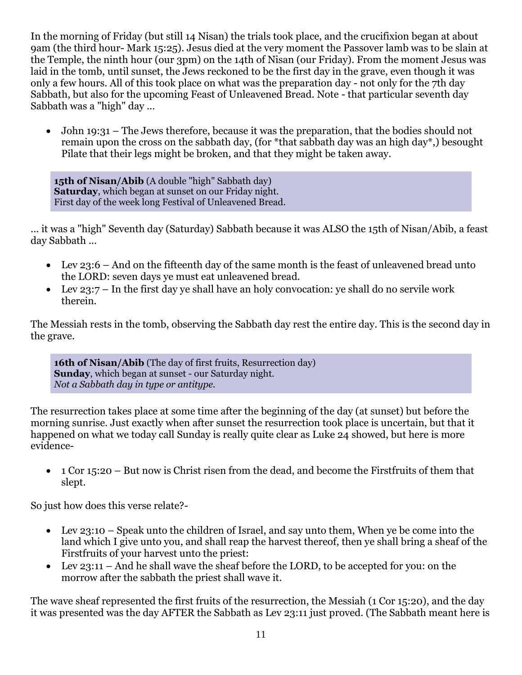In the morning of Friday (but still 14 Nisan) the trials took place, and the crucifixion began at about 9am (the third hour- Mark 15:25). Jesus died at the very moment the Passover lamb was to be slain at the Temple, the ninth hour (our 3pm) on the 14th of Nisan (our Friday). From the moment Jesus was laid in the tomb, until sunset, the Jews reckoned to be the first day in the grave, even though it was only a few hours. All of this took place on what was the preparation day - not only for the 7th day Sabbath, but also for the upcoming Feast of Unleavened Bread. Note - that particular seventh day Sabbath was a "high" day ...

 John 19:31 – The Jews therefore, because it was the preparation, that the bodies should not remain upon the cross on the sabbath day, (for \*that sabbath day was an high day\*,) besought Pilate that their legs might be broken, and that they might be taken away.

**15th of Nisan/Abib** (A double "high" Sabbath day) **Saturday**, which began at sunset on our Friday night. First day of the week long Festival of Unleavened Bread.

... it was a "high" Seventh day (Saturday) Sabbath because it was ALSO the 15th of Nisan/Abib, a feast day Sabbath ...

- Lev 23:6 And on the fifteenth day of the same month is the feast of unleavened bread unto the LORD: seven days ye must eat unleavened bread.
- Lev 23:7 In the first day ye shall have an holy convocation: ye shall do no servile work therein.

The Messiah rests in the tomb, observing the Sabbath day rest the entire day. This is the second day in the grave.

**16th of Nisan/Abib** (The day of first fruits, Resurrection day) **Sunday**, which began at sunset - our Saturday night. *Not a Sabbath day in type or antitype.*

The resurrection takes place at some time after the beginning of the day (at sunset) but before the morning sunrise. Just exactly when after sunset the resurrection took place is uncertain, but that it happened on what we today call Sunday is really quite clear as Luke 24 showed, but here is more evidence-

 $\bullet$  1 Cor 15:20 – But now is Christ risen from the dead, and become the Firstfruits of them that slept.

So just how does this verse relate?-

- Lev 23:10 Speak unto the children of Israel, and say unto them, When ye be come into the land which I give unto you, and shall reap the harvest thereof, then ye shall bring a sheaf of the Firstfruits of your harvest unto the priest:
- Lev 23:11 And he shall wave the sheaf before the LORD, to be accepted for you: on the morrow after the sabbath the priest shall wave it.

The wave sheaf represented the first fruits of the resurrection, the Messiah (1 Cor 15:20), and the day it was presented was the day AFTER the Sabbath as Lev 23:11 just proved. (The Sabbath meant here is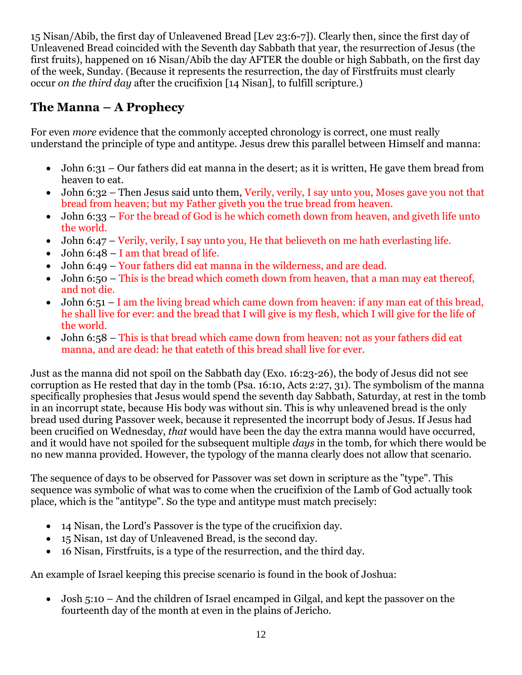15 Nisan/Abib, the first day of Unleavened Bread [Lev 23:6-7]). Clearly then, since the first day of Unleavened Bread coincided with the Seventh day Sabbath that year, the resurrection of Jesus (the first fruits), happened on 16 Nisan/Abib the day AFTER the double or high Sabbath, on the first day of the week, Sunday. (Because it represents the resurrection, the day of Firstfruits must clearly occur *on the third day* after the crucifixion [14 Nisan], to fulfill scripture.)

### **The Manna – A Prophecy**

For even *more* evidence that the commonly accepted chronology is correct, one must really understand the principle of type and antitype. Jesus drew this parallel between Himself and manna:

- John 6:31 Our fathers did eat manna in the desert; as it is written, He gave them bread from heaven to eat.
- John 6:32 Then Jesus said unto them, Verily, verily, I say unto you, Moses gave you not that bread from heaven; but my Father giveth you the true bread from heaven.
- John 6:33 For the bread of God is he which cometh down from heaven, and giveth life unto the world.
- John 6:47 Verily, verily, I say unto you, He that believeth on me hath everlasting life.
- John 6:48 I am that bread of life.
- John 6:49 Your fathers did eat manna in the wilderness, and are dead.
- John 6:50 This is the bread which cometh down from heaven, that a man may eat thereof, and not die.
- John 6:51 I am the living bread which came down from heaven: if any man eat of this bread, he shall live for ever: and the bread that I will give is my flesh, which I will give for the life of the world.
- John 6:58 This is that bread which came down from heaven: not as your fathers did eat manna, and are dead: he that eateth of this bread shall live for ever.

Just as the manna did not spoil on the Sabbath day (Exo. 16:23-26), the body of Jesus did not see corruption as He rested that day in the tomb (Psa. 16:10, Acts 2:27, 31). The symbolism of the manna specifically prophesies that Jesus would spend the seventh day Sabbath, Saturday, at rest in the tomb in an incorrupt state, because His body was without sin. This is why unleavened bread is the only bread used during Passover week, because it represented the incorrupt body of Jesus. If Jesus had been crucified on Wednesday, *that* would have been the day the extra manna would have occurred, and it would have not spoiled for the subsequent multiple *days* in the tomb, for which there would be no new manna provided. However, the typology of the manna clearly does not allow that scenario.

The sequence of days to be observed for Passover was set down in scripture as the "type". This sequence was symbolic of what was to come when the crucifixion of the Lamb of God actually took place, which is the "antitype". So the type and antitype must match precisely:

- 14 Nisan, the Lord's Passover is the type of the crucifixion day.
- 15 Nisan, 1st day of Unleavened Bread, is the second day.
- 16 Nisan, Firstfruits, is a type of the resurrection, and the third day.

An example of Israel keeping this precise scenario is found in the book of Joshua:

 Josh 5:10 – And the children of Israel encamped in Gilgal, and kept the passover on the fourteenth day of the month at even in the plains of Jericho.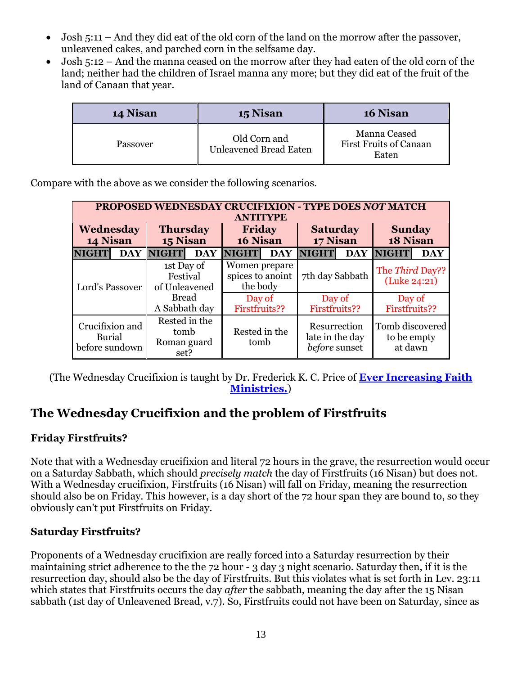- Josh 5:11 And they did eat of the old corn of the land on the morrow after the passover, unleavened cakes, and parched corn in the selfsame day.
- Josh 5:12 And the manna ceased on the morrow after they had eaten of the old corn of the land; neither had the children of Israel manna any more; but they did eat of the fruit of the land of Canaan that year.

| 14 Nisan | 15 Nisan                                      | 16 Nisan                                               |
|----------|-----------------------------------------------|--------------------------------------------------------|
| Passover | Old Corn and<br><b>Unleavened Bread Eaten</b> | Manna Ceased<br><b>First Fruits of Canaan</b><br>Eaten |

Compare with the above as we consider the following scenarios.

| <b>PROPOSED WEDNESDAY CRUCIFIXION - TYPE DOES NOT MATCH</b><br><b>ANTITYPE</b> |            |                                              |            |                                               |  |                                                  |            |                                           |            |
|--------------------------------------------------------------------------------|------------|----------------------------------------------|------------|-----------------------------------------------|--|--------------------------------------------------|------------|-------------------------------------------|------------|
| Wednesday<br>14 Nisan                                                          |            | <b>Thursday</b><br>15 Nisan                  |            | <b>Friday</b><br>16 Nisan                     |  | <b>Saturday</b><br>17 Nisan                      |            | <b>Sunday</b><br>18 Nisan                 |            |
| <b>NIGHT</b>                                                                   | <b>DAY</b> | <b>NIGHT</b>                                 | <b>DAY</b> | <b>NIGHT</b><br><b>DAY</b>                    |  | <b>NIGHT</b>                                     | <b>DAY</b> | <b>NIGHT</b>                              | <b>DAY</b> |
| Lord's Passover                                                                |            | 1st Day of<br>Festival<br>of Unleavened      |            | Women prepare<br>spices to anoint<br>the body |  | 7th day Sabbath                                  |            | The Third Day??<br>(Luke 24:21)           |            |
|                                                                                |            | <b>Bread</b><br>A Sabbath day                |            | Day of<br>Firstfruits??                       |  | Day of<br>Firstfruits??                          |            | Day of<br>Firstfruits??                   |            |
| Crucifixion and<br><b>Burial</b><br>before sundown                             |            | Rested in the<br>tomb<br>Roman guard<br>set? |            | Rested in the<br>tomb                         |  | Resurrection<br>late in the day<br>before sunset |            | Tomb discovered<br>to be empty<br>at dawn |            |

(The Wednesday Crucifixion is taught by Dr. Frederick K. C. Price of **[Ever Increasing Faith](http://web.archive.org/web/20050901035140/http:/www.eifm.org/cfide/smartsurf/user/Monthly_Messages/Apr.html)  [Ministries.](http://web.archive.org/web/20050901035140/http:/www.eifm.org/cfide/smartsurf/user/Monthly_Messages/Apr.html)**)

#### **The Wednesday Crucifixion and the problem of Firstfruits**

#### **Friday Firstfruits?**

Note that with a Wednesday crucifixion and literal 72 hours in the grave, the resurrection would occur on a Saturday Sabbath, which should *precisely match* the day of Firstfruits (16 Nisan) but does not. With a Wednesday crucifixion, Firstfruits (16 Nisan) will fall on Friday, meaning the resurrection should also be on Friday. This however, is a day short of the 72 hour span they are bound to, so they obviously can't put Firstfruits on Friday.

#### **Saturday Firstfruits?**

Proponents of a Wednesday crucifixion are really forced into a Saturday resurrection by their maintaining strict adherence to the the 72 hour - 3 day 3 night scenario. Saturday then, if it is the resurrection day, should also be the day of Firstfruits. But this violates what is set forth in Lev. 23:11 which states that Firstfruits occurs the day *after* the sabbath, meaning the day after the 15 Nisan sabbath (1st day of Unleavened Bread, v.7). So, Firstfruits could not have been on Saturday, since as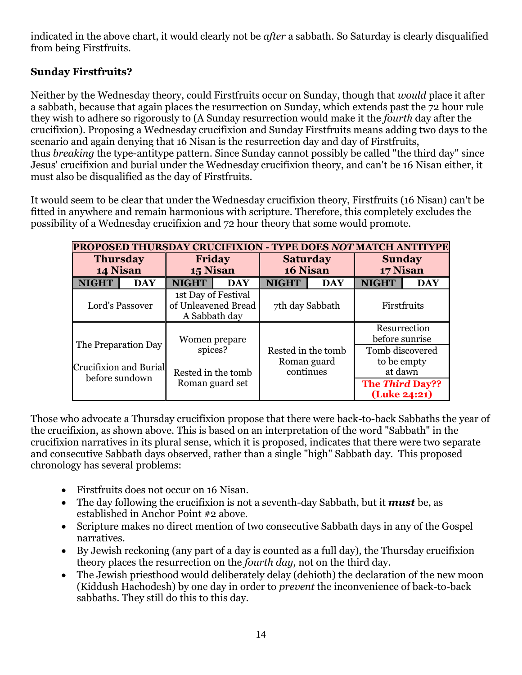indicated in the above chart, it would clearly not be *after* a sabbath. So Saturday is clearly disqualified from being Firstfruits.

#### **Sunday Firstfruits?**

Neither by the Wednesday theory, could Firstfruits occur on Sunday, though that *would* place it after a sabbath, because that again places the resurrection on Sunday, which extends past the 72 hour rule they wish to adhere so rigorously to (A Sunday resurrection would make it the *fourth* day after the crucifixion). Proposing a Wednesday crucifixion and Sunday Firstfruits means adding two days to the scenario and again denying that 16 Nisan is the resurrection day and day of Firstfruits, thus *breaking* the type-antitype pattern. Since Sunday cannot possibly be called "the third day" since Jesus' crucifixion and burial under the Wednesday crucifixion theory, and can't be 16 Nisan either, it must also be disqualified as the day of Firstfruits.

It would seem to be clear that under the Wednesday crucifixion theory, Firstfruits (16 Nisan) can't be fitted in anywhere and remain harmonious with scripture. Therefore, this completely excludes the possibility of a Wednesday crucifixion and 72 hour theory that some would promote.

| <b>PROPOSED THURSDAY CRUCIFIXION - TYPE DOES NOT MATCH ANTITYPE</b> |                    |                           |                                            |                             |             |                                        |            |  |
|---------------------------------------------------------------------|--------------------|---------------------------|--------------------------------------------|-----------------------------|-------------|----------------------------------------|------------|--|
| <b>Thursday</b><br>14 Nisan                                         |                    | <b>Friday</b><br>15 Nisan |                                            | <b>Saturday</b><br>16 Nisan |             | <b>Sunday</b><br>17 Nisan              |            |  |
| <b>NIGHT</b>                                                        | <b>DAY</b>         | <b>NIGHT</b>              | <b>DAY</b>                                 | <b>NIGHT</b><br><b>DAY</b>  |             | <b>NIGHT</b>                           | <b>DAY</b> |  |
|                                                                     | Lord's Passover    | A Sabbath day             | 1st Day of Festival<br>of Unleavened Bread | 7th day Sabbath             |             | Firstfruits                            |            |  |
|                                                                     |                    | Women prepare             |                                            |                             |             | Resurrection<br>before sunrise         |            |  |
| The Preparation Day<br>Crucifixion and Burial<br>before sundown     |                    | spices?                   |                                            | Rested in the tomb          |             | Tomb discovered                        |            |  |
|                                                                     |                    |                           | Roman guard                                |                             | to be empty |                                        |            |  |
|                                                                     | Rested in the tomb |                           | continues                                  |                             | at dawn     |                                        |            |  |
|                                                                     |                    | Roman guard set           |                                            |                             |             | <b>The Third Day??</b><br>(Luke 24:21) |            |  |

Those who advocate a Thursday crucifixion propose that there were back-to-back Sabbaths the year of the crucifixion, as shown above. This is based on an interpretation of the word "Sabbath" in the crucifixion narratives in its plural sense, which it is proposed, indicates that there were two separate and consecutive Sabbath days observed, rather than a single "high" Sabbath day. This proposed chronology has several problems:

- Firstfruits does not occur on 16 Nisan.
- The day following the crucifixion is not a seventh-day Sabbath, but it *must* be, as established in Anchor Point #2 above.
- Scripture makes no direct mention of two consecutive Sabbath days in any of the Gospel narratives.
- By Jewish reckoning (any part of a day is counted as a full day), the Thursday crucifixion theory places the resurrection on the *fourth day,* not on the third day.
- The Jewish priesthood would deliberately delay (dehioth) the declaration of the new moon (Kiddush Hachodesh) by one day in order to *prevent* the inconvenience of back-to-back sabbaths. They still do this to this day.